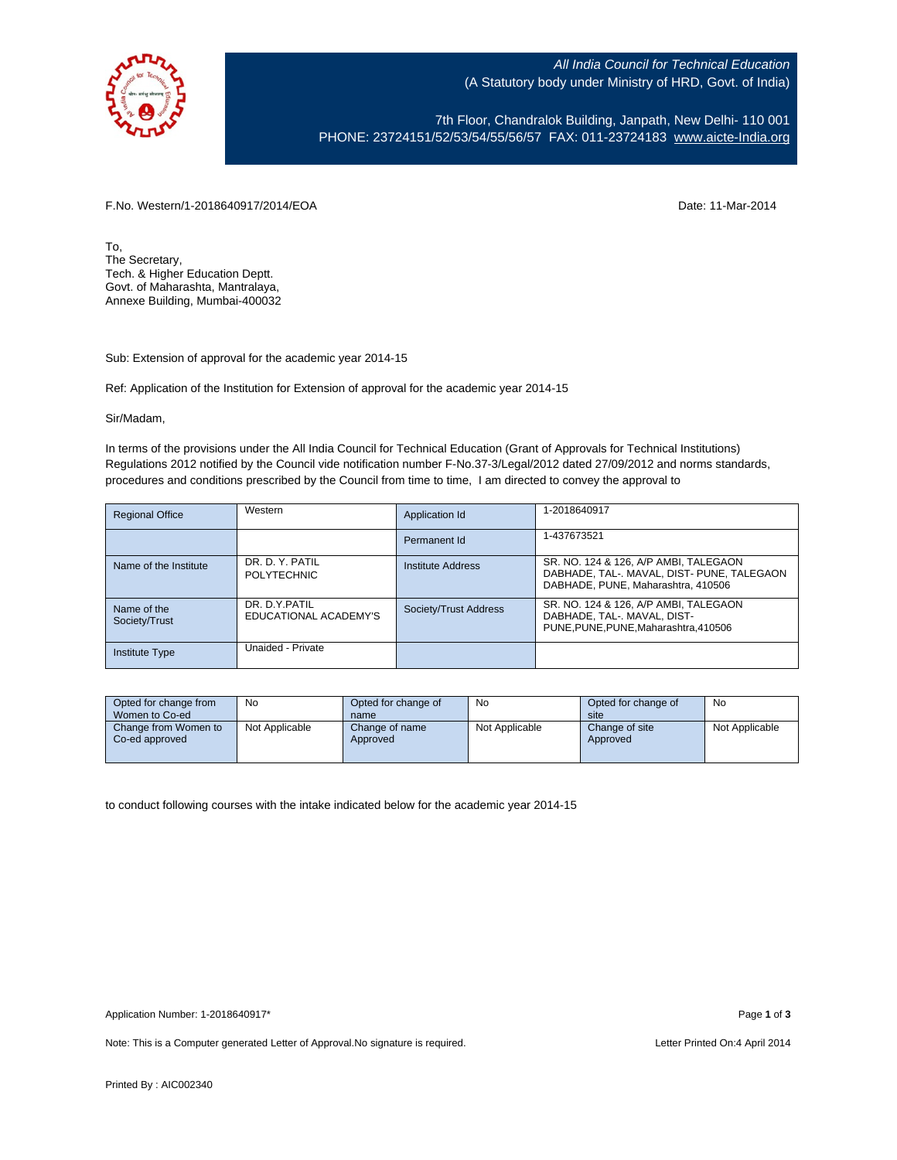

All India Council for Technical Education (A Statutory body under Ministry of HRD, Govt. of India)

7th Floor, Chandralok Building, Janpath, New Delhi- 110 001 PHONE: 23724151/52/53/54/55/56/57 FAX: 011-23724183 [www.aicte-India.org](http://www.aicte-india.org/)

F.No. Western/1-2018640917/2014/EOA Date: 11-Mar-2014

To, The Secretary, Tech. & Higher Education Deptt. Govt. of Maharashta, Mantralaya, Annexe Building, Mumbai-400032

Sub: Extension of approval for the academic year 2014-15

Ref: Application of the Institution for Extension of approval for the academic year 2014-15

Sir/Madam,

In terms of the provisions under the All India Council for Technical Education (Grant of Approvals for Technical Institutions) Regulations 2012 notified by the Council vide notification number F-No.37-3/Legal/2012 dated 27/09/2012 and norms standards, procedures and conditions prescribed by the Council from time to time, I am directed to convey the approval to

| <b>Regional Office</b>       | Western                                 | Application Id           | 1-2018640917                                                                                                              |
|------------------------------|-----------------------------------------|--------------------------|---------------------------------------------------------------------------------------------------------------------------|
|                              |                                         | Permanent Id             | 1-437673521                                                                                                               |
| Name of the Institute        | DR. D. Y. PATIL<br><b>POLYTECHNIC</b>   | <b>Institute Address</b> | SR. NO. 124 & 126, A/P AMBI, TALEGAON<br>DABHADE, TAL-. MAVAL, DIST- PUNE, TALEGAON<br>DABHADE, PUNE, Maharashtra, 410506 |
| Name of the<br>Society/Trust | DR. D.Y. PATIL<br>EDUCATIONAL ACADEMY'S | Society/Trust Address    | SR. NO. 124 & 126, A/P AMBI, TALEGAON<br>DABHADE, TAL-. MAVAL, DIST-<br>PUNE.PUNE.PUNE.Maharashtra.410506                 |
| <b>Institute Type</b>        | Unaided - Private                       |                          |                                                                                                                           |

| Opted for change from<br>Women to Co-ed | No             | Opted for change of<br>name | <b>No</b>      | Opted for change of<br>site | No             |
|-----------------------------------------|----------------|-----------------------------|----------------|-----------------------------|----------------|
| Change from Women to<br>Co-ed approved  | Not Applicable | Change of name<br>Approved  | Not Applicable | Change of site<br>Approved  | Not Applicable |

to conduct following courses with the intake indicated below for the academic year 2014-15

Note: This is a Computer generated Letter of Approval. No signature is required. <br>
Note: This is a Computer generated Letter of Approval. No signature is required.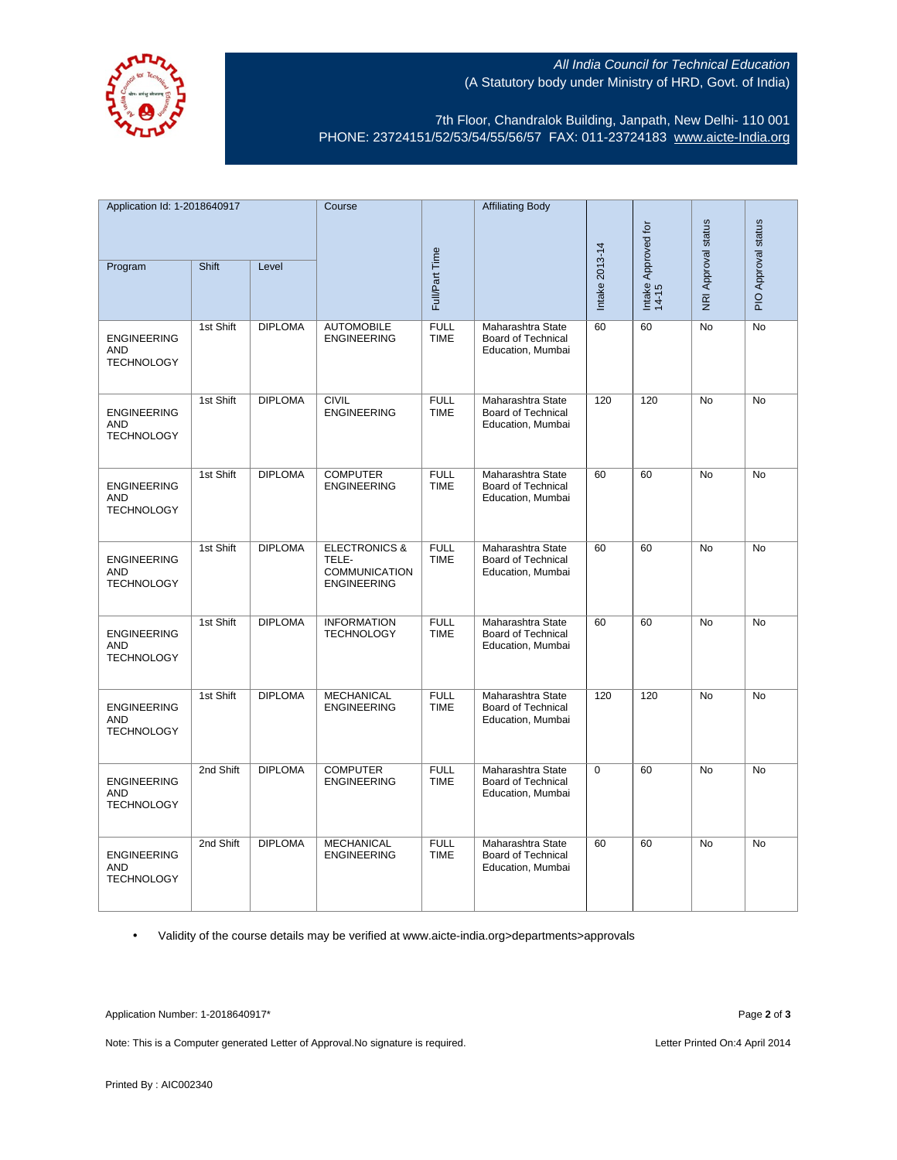

## All India Council for Technical Education (A Statutory body under Ministry of HRD, Govt. of India)

7th Floor, Chandralok Building, Janpath, New Delhi- 110 001 PHONE: 23724151/52/53/54/55/56/57 FAX: 011-23724183 [www.aicte-India.org](http://www.aicte-india.org/)

| Application Id: 1-2018640917                          |           | Course         |                                                                          | <b>Affiliating Body</b>    |                                                                     |                |                              |                     |                     |
|-------------------------------------------------------|-----------|----------------|--------------------------------------------------------------------------|----------------------------|---------------------------------------------------------------------|----------------|------------------------------|---------------------|---------------------|
|                                                       |           |                |                                                                          |                            |                                                                     |                |                              |                     |                     |
| Program                                               | Shift     | Level          |                                                                          | Full/Part Time             |                                                                     | Intake 2013-14 | Intake Approved for<br>14-15 | NRI Approval status | PIO Approval status |
| <b>ENGINEERING</b><br><b>AND</b><br><b>TECHNOLOGY</b> | 1st Shift | <b>DIPLOMA</b> | <b>AUTOMOBILE</b><br><b>ENGINEERING</b>                                  | <b>FULL</b><br><b>TIME</b> | Maharashtra State<br><b>Board of Technical</b><br>Education, Mumbai | 60             | 60                           | No                  | No                  |
| <b>ENGINEERING</b><br><b>AND</b><br><b>TECHNOLOGY</b> | 1st Shift | <b>DIPLOMA</b> | <b>CIVIL</b><br><b>ENGINEERING</b>                                       | <b>FULL</b><br><b>TIME</b> | Maharashtra State<br><b>Board of Technical</b><br>Education, Mumbai | 120            | 120                          | <b>No</b>           | <b>No</b>           |
| <b>ENGINEERING</b><br><b>AND</b><br><b>TECHNOLOGY</b> | 1st Shift | <b>DIPLOMA</b> | <b>COMPUTER</b><br><b>ENGINEERING</b>                                    | <b>FULL</b><br><b>TIME</b> | Maharashtra State<br>Board of Technical<br>Education, Mumbai        | 60             | 60                           | <b>No</b>           | <b>No</b>           |
| <b>ENGINEERING</b><br><b>AND</b><br><b>TECHNOLOGY</b> | 1st Shift | <b>DIPLOMA</b> | <b>ELECTRONICS &amp;</b><br>TELE-<br>COMMUNICATION<br><b>ENGINEERING</b> | <b>FULL</b><br><b>TIME</b> | Maharashtra State<br><b>Board of Technical</b><br>Education, Mumbai | 60             | 60                           | No                  | No                  |
| <b>ENGINEERING</b><br>AND<br><b>TECHNOLOGY</b>        | 1st Shift | <b>DIPLOMA</b> | <b>INFORMATION</b><br><b>TECHNOLOGY</b>                                  | <b>FULL</b><br><b>TIME</b> | Maharashtra State<br>Board of Technical<br>Education, Mumbai        | 60             | 60                           | <b>No</b>           | <b>No</b>           |
| <b>ENGINEERING</b><br>AND<br><b>TECHNOLOGY</b>        | 1st Shift | <b>DIPLOMA</b> | <b>MECHANICAL</b><br><b>ENGINEERING</b>                                  | <b>FULL</b><br><b>TIME</b> | Maharashtra State<br>Board of Technical<br>Education, Mumbai        | 120            | 120                          | <b>No</b>           | <b>No</b>           |
| <b>ENGINEERING</b><br><b>AND</b><br><b>TECHNOLOGY</b> | 2nd Shift | <b>DIPLOMA</b> | <b>COMPUTER</b><br><b>ENGINEERING</b>                                    | <b>FULL</b><br><b>TIME</b> | Maharashtra State<br>Board of Technical<br>Education, Mumbai        | $\mathbf 0$    | 60                           | <b>No</b>           | <b>No</b>           |
| <b>ENGINEERING</b><br><b>AND</b><br><b>TECHNOLOGY</b> | 2nd Shift | <b>DIPLOMA</b> | <b>MECHANICAL</b><br><b>ENGINEERING</b>                                  | <b>FULL</b><br><b>TIME</b> | Maharashtra State<br>Board of Technical<br>Education, Mumbai        | 60             | 60                           | <b>No</b>           | <b>No</b>           |

• Validity of the course details may be verified at www.aicte-india.org>departments>approvals

Application Number: 1-2018640917\* Page **2** of **3**

Note: This is a Computer generated Letter of Approval.No signature is required. <br>
Note: This is a Computer generated Letter of Approval.No signature is required.